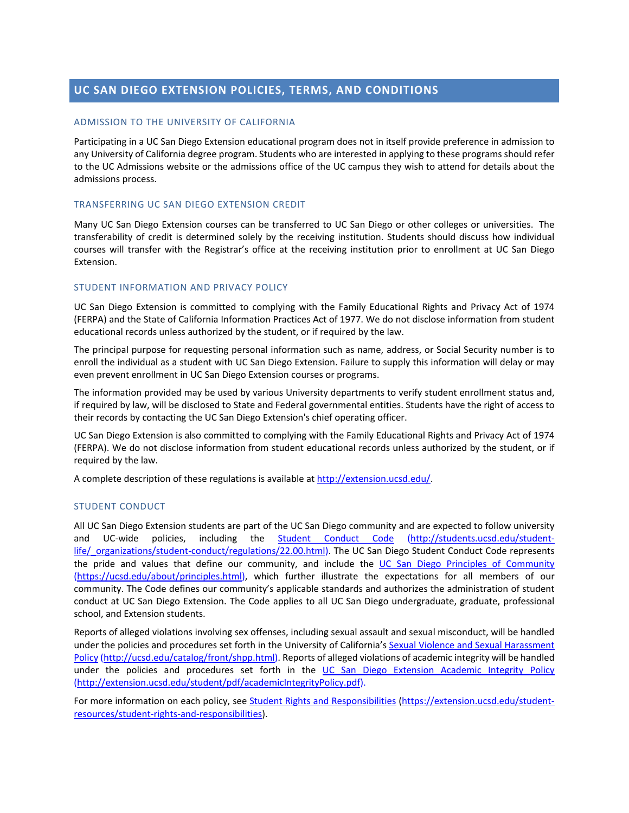# **UC SAN DIEGO EXTENSION POLICIES, TERMS, AND CONDITIONS**

# ADMISSION TO THE UNIVERSITY OF CALIFORNIA

Participating in a UC San Diego Extension educational program does not in itself provide preference in admission to any University of California degree program. Students who are interested in applying to these programs should refer to the UC Admissions website or the admissions office of the UC campus they wish to attend for details about the admissions process.

# TRANSFERRING UC SAN DIEGO EXTENSION CREDIT

Many UC San Diego Extension courses can be transferred to UC San Diego or other colleges or universities. The transferability of credit is determined solely by the receiving institution. Students should discuss how individual courses will transfer with the Registrar's office at the receiving institution prior to enrollment at UC San Diego Extension.

# STUDENT INFORMATION AND PRIVACY POLICY

UC San Diego Extension is committed to complying with the Family Educational Rights and Privacy Act of 1974 (FERPA) and the State of California Information Practices Act of 1977. We do not disclose information from student educational records unless authorized by the student, or if required by the law.

The principal purpose for requesting personal information such as name, address, or Social Security number is to enroll the individual as a student with UC San Diego Extension. Failure to supply this information will delay or may even prevent enrollment in UC San Diego Extension courses or programs.

The information provided may be used by various University departments to verify student enrollment status and, if required by law, will be disclosed to State and Federal governmental entities. Students have the right of access to their records by contacting the UC San Diego Extension's chief operating officer.

UC San Diego Extension is also committed to complying with the Family Educational Rights and Privacy Act of 1974 (FERPA). We do not disclose information from student educational records unless authorized by the student, or if required by the law.

A complete description of these regulations is available at [http://extension.ucsd.edu/.](http://extension.ucsd.edu/)

## STUDENT CONDUCT

All UC San Diego Extension students are part of the UC San Diego community and are expected to follow university and UC-wide policies, including the [Student Conduct Code](http://students.ucsd.edu/student-life/_organizations/student-conduct/regulations/22.00.html) [\(http://students.ucsd.edu/student](http://students.ucsd.edu/student-life/_organizations/student-conduct/regulations/22.00.html)[life/\\_organizations/student-conduct/regulations/22.00.html\)](http://students.ucsd.edu/student-life/_organizations/student-conduct/regulations/22.00.html). The UC San Diego Student Conduct Code represents the pride and values that define our community, and include the [UC San Diego Principles of Community](https://ucsd.edu/about/principles.html) [\(https://ucsd.edu/about/principles.html\)](https://ucsd.edu/about/principles.html), which further illustrate the expectations for all members of our community. The Code defines our community's applicable standards and authorizes the administration of student conduct at UC San Diego Extension. The Code applies to all UC San Diego undergraduate, graduate, professional school, and Extension students.

Reports of alleged violations involving sex offenses, including sexual assault and sexual misconduct, will be handled under the policies and procedures set forth in the University of California's [Sexual Violence and Sexual Harassment](http://ucsd.edu/catalog/front/shpp.html)  [Policy](http://ucsd.edu/catalog/front/shpp.html) [\(http://ucsd.edu/catalog/front/shpp.html\)](http://ucsd.edu/catalog/front/shpp.html). Reports of alleged violations of academic integrity will be handled under the policies and procedures set forth in the [UC San Diego Extension Academic Integrity Policy](http://extension.ucsd.edu/student/pdf/academicIntegrityPolicy.pdf) [\(http://extension.ucsd.edu/student/pdf/academicIntegrityPolicy.pdf\)](http://extension.ucsd.edu/student/pdf/academicIntegrityPolicy.pdf).

For more information on each policy, see [Student Rights and Responsibilities](https://extension.ucsd.edu/student-resources/student-rights-and-responsibilities) [\(https://extension.ucsd.edu/student](https://extension.ucsd.edu/student-resources/student-rights-and-responsibilities)[resources/student-rights-and-responsibilities\)](https://extension.ucsd.edu/student-resources/student-rights-and-responsibilities).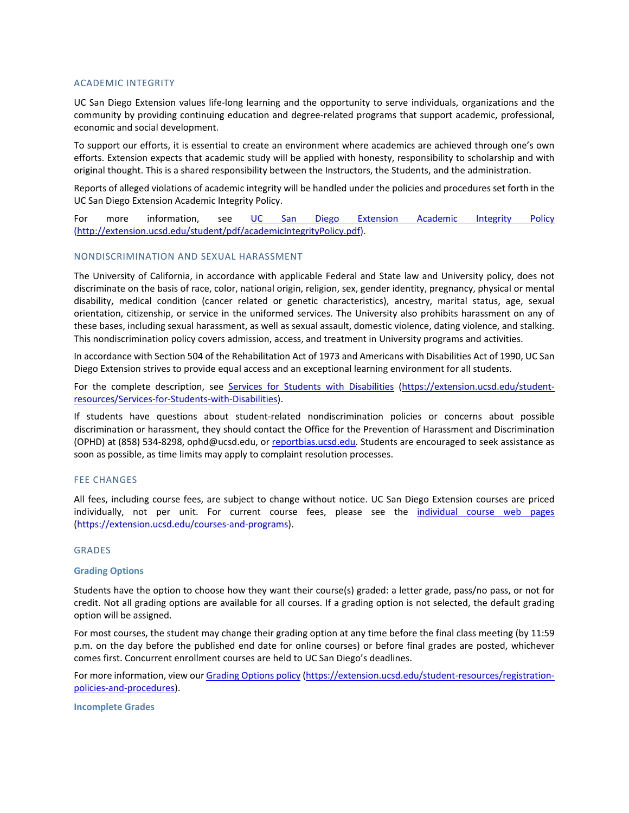## ACADEMIC INTEGRITY

UC San Diego Extension values life-long learning and the opportunity to serve individuals, organizations and the community by providing continuing education and degree-related programs that support academic, professional, economic and social development.

To support our efforts, it is essential to create an environment where academics are achieved through one's own efforts. Extension expects that academic study will be applied with honesty, responsibility to scholarship and with original thought. This is a shared responsibility between the Instructors, the Students, and the administration.

Reports of alleged violations of academic integrity will be handled under the policies and procedures set forth in the UC San Diego Extension Academic Integrity Policy.

For more information, see [UC San Diego Extension Academic Integrity Policy](http://extension.ucsd.edu/student/pdf/academicIntegrityPolicy.pdf) [\(http://extension.ucsd.edu/student/pdf/academicIntegrityPolicy.pdf\)](http://extension.ucsd.edu/student/pdf/academicIntegrityPolicy.pdf).

#### NONDISCRIMINATION AND SEXUAL HARASSMENT

The University of California, in accordance with applicable Federal and State law and University policy, does not discriminate on the basis of race, color, national origin, religion, sex, gender identity, pregnancy, physical or mental disability, medical condition (cancer related or genetic characteristics), ancestry, marital status, age, sexual orientation, citizenship, or service in the uniformed services. The University also prohibits harassment on any of these bases, including sexual harassment, as well as sexual assault, domestic violence, dating violence, and stalking. This nondiscrimination policy covers admission, access, and treatment in University programs and activities.

In accordance with Section 504 of the Rehabilitation Act of 1973 and Americans with Disabilities Act of 1990, UC San Diego Extension strives to provide equal access and an exceptional learning environment for all students.

For the complete description, see [Services for Students with Disabilities](https://extension.ucsd.edu/student-resources/Services-for-Students-with-Disabilities) [\(https://extension.ucsd.edu/student](https://extension.ucsd.edu/student-resources/Services-for-Students-with-Disabilities)[resources/Services-for-Students-with-Disabilities\)](https://extension.ucsd.edu/student-resources/Services-for-Students-with-Disabilities).

If students have questions about student-related nondiscrimination policies or concerns about possible discrimination or harassment, they should contact the Office for the Prevention of Harassment and Discrimination (OPHD) at (858) 534-8298, [ophd@ucsd.edu,](mailto:ophd@ucsd.edu) or [reportbias.ucsd.edu.](file://ad/unex-dfs/Depts/Student%20Services/Veterans%20Education%20Benefits/VA%20Registration%20Packet/reportbias.ucsd.edu) Students are encouraged to seek assistance as soon as possible, as time limits may apply to complaint resolution processes.

## FEE CHANGES

All fees, including course fees, are subject to change without notice. UC San Diego Extension courses are priced individually, not per unit. For current course fees, please see the [individual course web pages](https://extension.ucsd.edu/courses-and-programs) [\(https://extension.ucsd.edu/courses-and-programs\)](https://extension.ucsd.edu/courses-and-programs).

## GRADES

#### **Grading Options**

Students have the option to choose how they want their course(s) graded: a letter grade, pass/no pass, or not for credit. Not all grading options are available for all courses. If a grading option is not selected, the default grading option will be assigned.

For most courses, the student may change their grading option at any time before the final class meeting (by 11:59 p.m. on the day before the published end date for online courses) or before final grades are posted, whichever comes first. Concurrent enrollment courses are held to UC San Diego's deadlines.

For more information, view our [Grading Options policy](https://extension.ucsd.edu/student-resources/registration-policies-and-procedures) [\(https://extension.ucsd.edu/student-resources/registration](https://extension.ucsd.edu/student-resources/registration-policies-and-procedures)[policies-and-procedures\)](https://extension.ucsd.edu/student-resources/registration-policies-and-procedures).

**Incomplete Grades**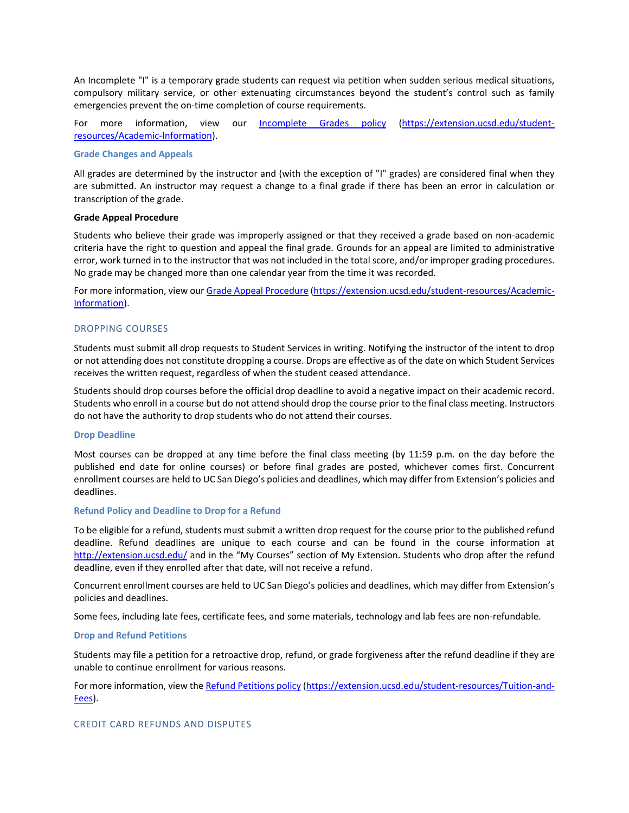An Incomplete "I" is a temporary grade students can request via petition when sudden serious medical situations, compulsory military service, or other extenuating circumstances beyond the student's control such as family emergencies prevent the on-time completion of course requirements.

For more information, view our [Incomplete Grades policy](https://extension.ucsd.edu/student-resources/Academic-Information) [\(https://extension.ucsd.edu/student](https://extension.ucsd.edu/student-resources/Academic-Information)[resources/Academic-Information\)](https://extension.ucsd.edu/student-resources/Academic-Information).

## **Grade Changes and Appeals**

All grades are determined by the instructor and (with the exception of "I" grades) are considered final when they are submitted. An instructor may request a change to a final grade if there has been an error in calculation or transcription of the grade.

# **Grade Appeal Procedure**

Students who believe their grade was improperly assigned or that they received a grade based on non-academic criteria have the right to question and appeal the final grade. Grounds for an appeal are limited to administrative error, work turned in to the instructor that was not included in the total score, and/or improper grading procedures. No grade may be changed more than one calendar year from the time it was recorded.

For more information, view our [Grade Appeal Procedure](https://extension.ucsd.edu/student-resources/Academic-Information) [\(https://extension.ucsd.edu/student-resources/Academic-](https://extension.ucsd.edu/student-resources/Academic-Information)[Information\)](https://extension.ucsd.edu/student-resources/Academic-Information).

## DROPPING COURSES

Students must submit all drop requests to Student Services in writing. Notifying the instructor of the intent to drop or not attending does not constitute dropping a course. Drops are effective as of the date on which Student Services receives the written request, regardless of when the student ceased attendance.

Students should drop courses before the official drop deadline to avoid a negative impact on their academic record. Students who enroll in a course but do not attend should drop the course prior to the final class meeting. Instructors do not have the authority to drop students who do not attend their courses.

#### **Drop Deadline**

Most courses can be dropped at any time before the final class meeting (by 11:59 p.m. on the day before the published end date for online courses) or before final grades are posted, whichever comes first. Concurrent enrollment courses are held to UC San Diego's policies and deadlines, which may differ from Extension's policies and deadlines.

#### **Refund Policy and Deadline to Drop for a Refund**

To be eligible for a refund, students must submit a written drop request for the course prior to the published refund deadline. Refund deadlines are unique to each course and can be found in the course information at <http://extension.ucsd.edu/> and in the "My Courses" section of My Extension. Students who drop after the refund deadline, even if they enrolled after that date, will not receive a refund.

Concurrent enrollment courses are held to UC San Diego's policies and deadlines, which may differ from Extension's policies and deadlines.

Some fees, including late fees, certificate fees, and some materials, technology and lab fees are non-refundable.

#### **Drop and Refund Petitions**

Students may file a petition for a retroactive drop, refund, or grade forgiveness after the refund deadline if they are unable to continue enrollment for various reasons.

For more information, view th[e Refund Petitions policy](https://extension.ucsd.edu/student-resources/Tuition-and-Fees) [\(https://extension.ucsd.edu/student-resources/Tuition-and-](https://extension.ucsd.edu/student-resources/Tuition-and-Fees)[Fees\)](https://extension.ucsd.edu/student-resources/Tuition-and-Fees).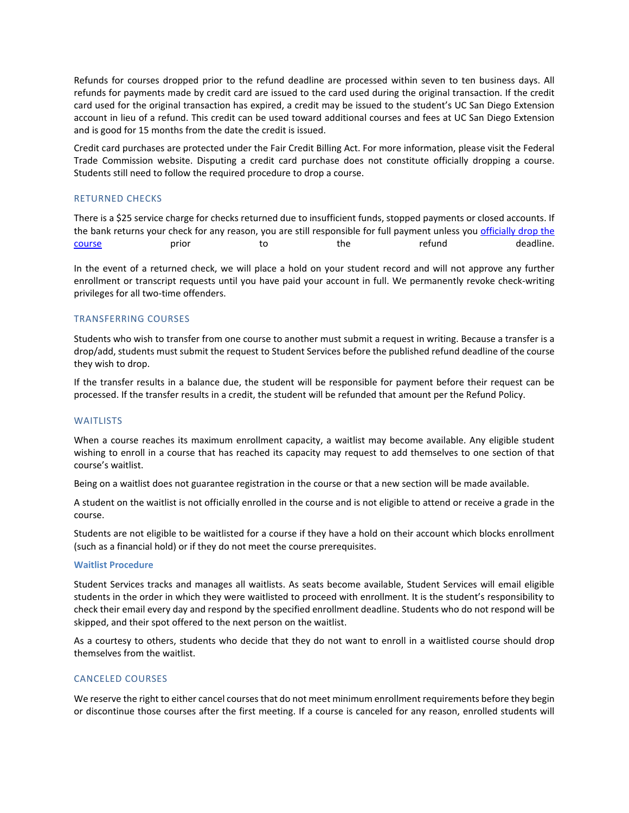Refunds for courses dropped prior to the refund deadline are processed within seven to ten business days. All refunds for payments made by credit card are issued to the card used during the original transaction. If the credit card used for the original transaction has expired, a credit may be issued to the student's UC San Diego Extension account in lieu of a refund. This credit can be used toward additional courses and fees at UC San Diego Extension and is good for 15 months from the date the credit is issued.

Credit card purchases are protected under the Fair Credit Billing Act. For more information, please visit the Federal Trade Commission website. Disputing a credit card purchase does not constitute officially dropping a course. Students still need to follow the required procedure to drop a course.

## RETURNED CHECKS

There is a \$25 service charge for checks returned due to insufficient funds, stopped payments or closed accounts. If the bank returns your check for any reason, you are still responsible for full payment unless you officially drop the [course](https://extension.ucsd.edu/student-resources/registration-policies-and-procedures) examples to the refund to the refund to the refund to deadline.

In the event of a returned check, we will place a hold on your student record and will not approve any further enrollment or transcript requests until you have paid your account in full. We permanently revoke check-writing privileges for all two-time offenders.

# TRANSFERRING COURSES

Students who wish to transfer from one course to another must submit a request in writing. Because a transfer is a drop/add, students must submit the request to Student Services before the published refund deadline of the course they wish to drop.

If the transfer results in a balance due, the student will be responsible for payment before their request can be processed. If the transfer results in a credit, the student will be refunded that amount per the Refund Policy.

## **WAITLISTS**

When a course reaches its maximum enrollment capacity, a waitlist may become available. Any eligible student wishing to enroll in a course that has reached its capacity may request to add themselves to one section of that course's waitlist.

Being on a waitlist does not guarantee registration in the course or that a new section will be made available.

A student on the waitlist is not officially enrolled in the course and is not eligible to attend or receive a grade in the course.

Students are not eligible to be waitlisted for a course if they have a hold on their account which blocks enrollment (such as a financial hold) or if they do not meet the course prerequisites.

#### **Waitlist Procedure**

Student Services tracks and manages all waitlists. As seats become available, Student Services will email eligible students in the order in which they were waitlisted to proceed with enrollment. It is the student's responsibility to check their email every day and respond by the specified enrollment deadline. Students who do not respond will be skipped, and their spot offered to the next person on the waitlist.

As a courtesy to others, students who decide that they do not want to enroll in a waitlisted course should drop themselves from the waitlist.

## CANCELED COURSES

We reserve the right to either cancel courses that do not meet minimum enrollment requirements before they begin or discontinue those courses after the first meeting. If a course is canceled for any reason, enrolled students will